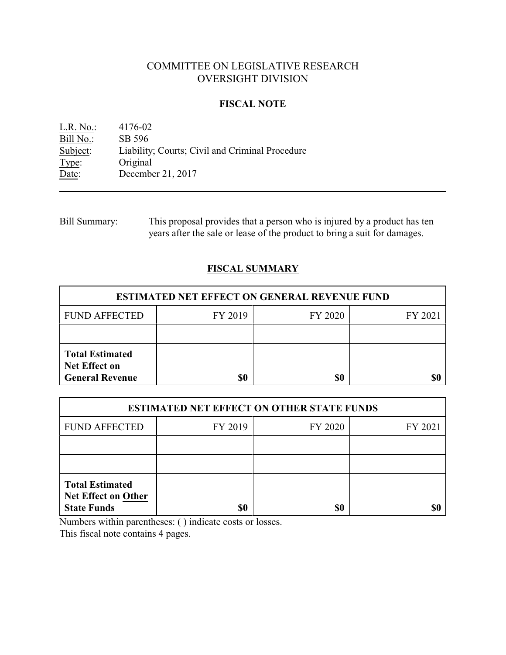# COMMITTEE ON LEGISLATIVE RESEARCH OVERSIGHT DIVISION

### **FISCAL NOTE**

L.R. No.: 4176-02 Bill No.: SB 596<br>Subject: Liability Subject: Liability; Courts; Civil and Criminal Procedure Type: Original Original Date: December 21, 2017

Bill Summary: This proposal provides that a person who is injured by a product has ten years after the sale or lease of the product to bring a suit for damages.

## **FISCAL SUMMARY**

| <b>ESTIMATED NET EFFECT ON GENERAL REVENUE FUND</b>                      |         |         |         |  |
|--------------------------------------------------------------------------|---------|---------|---------|--|
| <b>FUND AFFECTED</b>                                                     | FY 2019 | FY 2020 | FY 2021 |  |
|                                                                          |         |         |         |  |
| <b>Total Estimated</b><br><b>Net Effect on</b><br><b>General Revenue</b> | \$0     | \$0     |         |  |

| <b>ESTIMATED NET EFFECT ON OTHER STATE FUNDS</b>                           |         |         |         |  |
|----------------------------------------------------------------------------|---------|---------|---------|--|
| <b>FUND AFFECTED</b>                                                       | FY 2019 | FY 2020 | FY 2021 |  |
|                                                                            |         |         |         |  |
|                                                                            |         |         |         |  |
| <b>Total Estimated</b><br><b>Net Effect on Other</b><br><b>State Funds</b> | \$0     | \$0     |         |  |

Numbers within parentheses: ( ) indicate costs or losses.

This fiscal note contains 4 pages.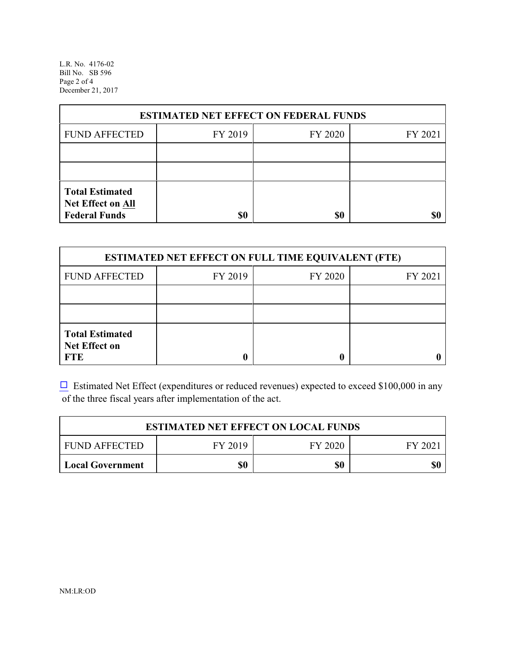L.R. No. 4176-02 Bill No. SB 596 Page 2 of 4 December 21, 2017

| <b>ESTIMATED NET EFFECT ON FEDERAL FUNDS</b>                        |         |         |         |  |
|---------------------------------------------------------------------|---------|---------|---------|--|
| <b>FUND AFFECTED</b>                                                | FY 2019 | FY 2020 | FY 2021 |  |
|                                                                     |         |         |         |  |
|                                                                     |         |         |         |  |
| <b>Total Estimated</b><br>Net Effect on All<br><b>Federal Funds</b> | \$0     | \$0     |         |  |

| <b>ESTIMATED NET EFFECT ON FULL TIME EQUIVALENT (FTE)</b>    |         |         |         |  |
|--------------------------------------------------------------|---------|---------|---------|--|
| <b>FUND AFFECTED</b>                                         | FY 2019 | FY 2020 | FY 2021 |  |
|                                                              |         |         |         |  |
|                                                              |         |         |         |  |
| <b>Total Estimated</b><br><b>Net Effect on</b><br><b>FTE</b> |         |         |         |  |

 $\Box$  Estimated Net Effect (expenditures or reduced revenues) expected to exceed \$100,000 in any of the three fiscal years after implementation of the act.

| <b>ESTIMATED NET EFFECT ON LOCAL FUNDS</b> |         |         |        |
|--------------------------------------------|---------|---------|--------|
| <b>FUND AFFECTED</b>                       | FY 2019 | FY 2020 | FY 202 |
| Local Government                           | \$0     | \$0     | \$0    |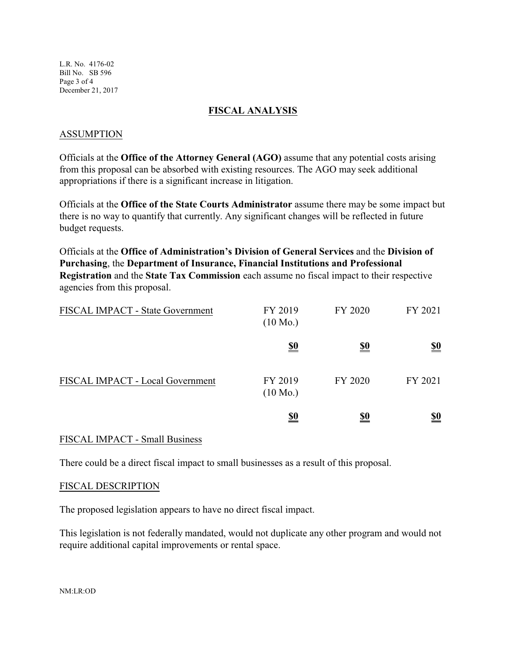L.R. No. 4176-02 Bill No. SB 596 Page 3 of 4 December 21, 2017

#### **FISCAL ANALYSIS**

#### ASSUMPTION

Officials at the **Office of the Attorney General (AGO)** assume that any potential costs arising from this proposal can be absorbed with existing resources. The AGO may seek additional appropriations if there is a significant increase in litigation.

Officials at the **Office of the State Courts Administrator** assume there may be some impact but there is no way to quantify that currently. Any significant changes will be reflected in future budget requests.

Officials at the **Office of Administration's Division of General Services** and the **Division of Purchasing**, the **Department of Insurance, Financial Institutions and Professional Registration** and the **State Tax Commission** each assume no fiscal impact to their respective agencies from this proposal.

| FISCAL IMPACT - State Government | FY 2019<br>$(10 \text{ Mo.})$ | FY 2020    | FY 2021                       |
|----------------------------------|-------------------------------|------------|-------------------------------|
|                                  | <u>\$0</u>                    | <u>\$0</u> | $\underline{\underline{\$0}}$ |
| FISCAL IMPACT - Local Government | FY 2019<br>$(10 \text{ Mo.})$ | FY 2020    | FY 2021                       |
|                                  | <u>\$0</u>                    | <u>\$0</u> | <u>\$0</u>                    |

#### FISCAL IMPACT - Small Business

There could be a direct fiscal impact to small businesses as a result of this proposal.

#### FISCAL DESCRIPTION

The proposed legislation appears to have no direct fiscal impact.

This legislation is not federally mandated, would not duplicate any other program and would not require additional capital improvements or rental space.

NM:LR:OD